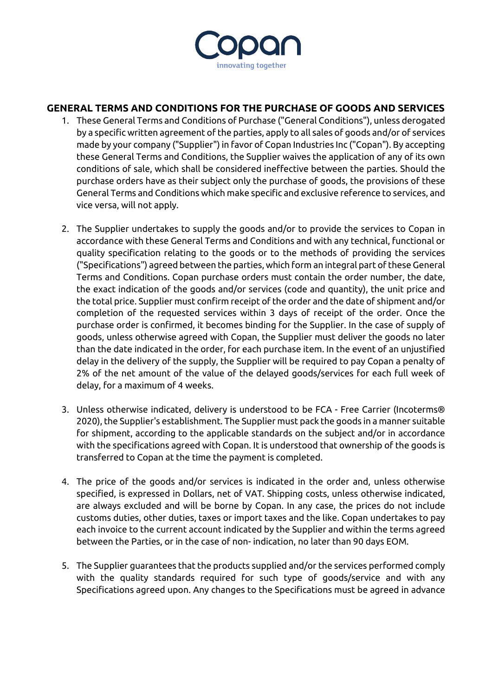

## **GENERAL TERMS AND CONDITIONS FOR THE PURCHASE OF GOODS AND SERVICES**

- 1. These General Terms and Conditions of Purchase ("General Conditions"), unless derogated by a specific written agreement of the parties, apply to all sales of goods and/or of services made by your company ("Supplier") in favor of Copan Industries Inc ("Copan"). By accepting these General Terms and Conditions, the Supplier waives the application of any of its own conditions of sale, which shall be considered ineffective between the parties. Should the purchase orders have as their subject only the purchase of goods, the provisions of these General Terms and Conditions which make specific and exclusive reference to services, and vice versa, will not apply.
- 2. The Supplier undertakes to supply the goods and/or to provide the services to Copan in accordance with these General Terms and Conditions and with any technical, functional or quality specification relating to the goods or to the methods of providing the services ("Specifications") agreed between the parties, which form an integral part of these General Terms and Conditions. Copan purchase orders must contain the order number, the date, the exact indication of the goods and/or services (code and quantity), the unit price and the total price. Supplier must confirm receipt of the order and the date of shipment and/or completion of the requested services within 3 days of receipt of the order. Once the purchase order is confirmed, it becomes binding for the Supplier. In the case of supply of goods, unless otherwise agreed with Copan, the Supplier must deliver the goods no later than the date indicated in the order, for each purchase item. In the event of an unjustified delay in the delivery of the supply, the Supplier will be required to pay Copan a penalty of 2% of the net amount of the value of the delayed goods/services for each full week of delay, for a maximum of 4 weeks.
- 3. Unless otherwise indicated, delivery is understood to be FCA Free Carrier (Incoterms® 2020), the Supplier's establishment. The Supplier must pack the goods in a manner suitable for shipment, according to the applicable standards on the subject and/or in accordance with the specifications agreed with Copan. It is understood that ownership of the goods is transferred to Copan at the time the payment is completed.
- 4. The price of the goods and/or services is indicated in the order and, unless otherwise specified, is expressed in Dollars, net of VAT. Shipping costs, unless otherwise indicated, are always excluded and will be borne by Copan. In any case, the prices do not include customs duties, other duties, taxes or import taxes and the like. Copan undertakes to pay each invoice to the current account indicated by the Supplier and within the terms agreed between the Parties, or in the case of non- indication, no later than 90 days EOM.
- 5. The Supplier guarantees that the products supplied and/or the services performed comply with the quality standards required for such type of goods/service and with any Specifications agreed upon. Any changes to the Specifications must be agreed in advance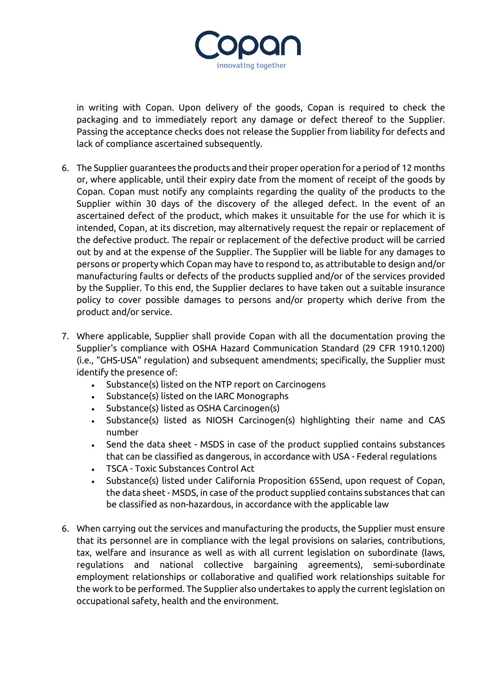

in writing with Copan. Upon delivery of the goods, Copan is required to check the packaging and to immediately report any damage or defect thereof to the Supplier. Passing the acceptance checks does not release the Supplier from liability for defects and lack of compliance ascertained subsequently.

- 6. The Supplier guarantees the products and their proper operation for a period of 12 months or, where applicable, until their expiry date from the moment of receipt of the goods by Copan. Copan must notify any complaints regarding the quality of the products to the Supplier within 30 days of the discovery of the alleged defect. In the event of an ascertained defect of the product, which makes it unsuitable for the use for which it is intended, Copan, at its discretion, may alternatively request the repair or replacement of the defective product. The repair or replacement of the defective product will be carried out by and at the expense of the Supplier. The Supplier will be liable for any damages to persons or property which Copan may have to respond to, as attributable to design and/or manufacturing faults or defects of the products supplied and/or of the services provided by the Supplier. To this end, the Supplier declares to have taken out a suitable insurance policy to cover possible damages to persons and/or property which derive from the product and/or service.
- 7. Where applicable, Supplier shall provide Copan with all the documentation proving the Supplier's compliance with OSHA Hazard Communication Standard (29 CFR 1910.1200) (i.e., "GHS-USA" regulation) and subsequent amendments; specifically, the Supplier must identify the presence of:
	- Substance(s) listed on the NTP report on Carcinogens
	- Substance(s) listed on the IARC Monographs
	- Substance(s) listed as OSHA Carcinogen(s)
	- Substance(s) listed as NIOSH Carcinogen(s) highlighting their name and CAS number
	- Send the data sheet MSDS in case of the product supplied contains substances that can be classified as dangerous, in accordance with USA - Federal regulations
	- TSCA Toxic Substances Control Act
	- Substance(s) listed under California Proposition 65Send, upon request of Copan, the data sheet - MSDS, in case of the product supplied contains substances that can be classified as non-hazardous, in accordance with the applicable law
- 6. When carrying out the services and manufacturing the products, the Supplier must ensure that its personnel are in compliance with the legal provisions on salaries, contributions, tax, welfare and insurance as well as with all current legislation on subordinate (laws, regulations and national collective bargaining agreements), semi-subordinate employment relationships or collaborative and qualified work relationships suitable for the work to be performed. The Supplier also undertakes to apply the current legislation on occupational safety, health and the environment.